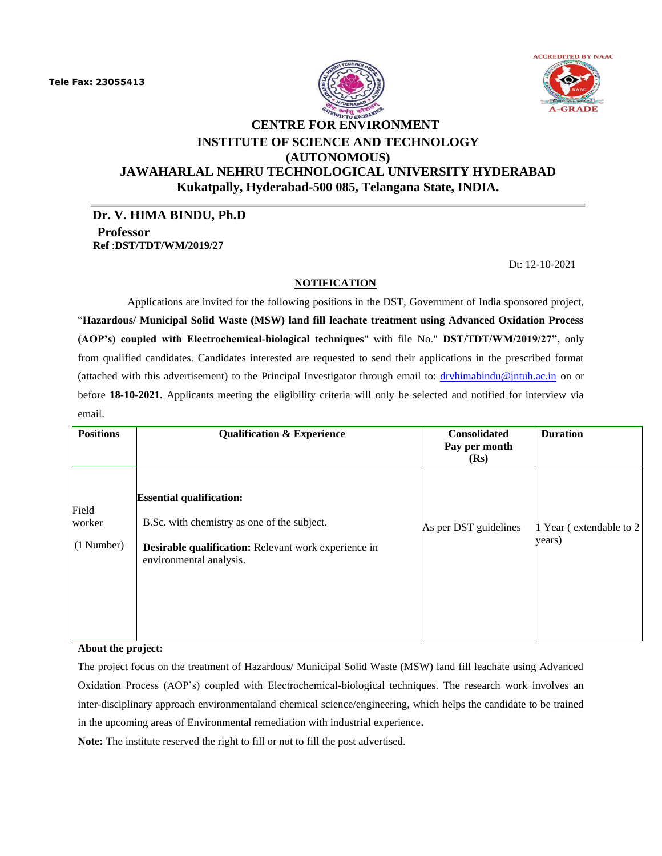



# **CENTRE FOR ENVIRONMENT INSTITUTE OF SCIENCE AND TECHNOLOGY (AUTONOMOUS) JAWAHARLAL NEHRU TECHNOLOGICAL UNIVERSITY HYDERABAD**

**Kukatpally, Hyderabad-500 085, Telangana State, INDIA.**

**Dr. V. HIMA BINDU, Ph.D Professor Ref** :**DST/TDT/WM/2019/27**

Dt: 12-10-2021

#### **NOTIFICATION**

Applications are invited for the following positions in the DST, Government of India sponsored project, "**Hazardous/ Municipal Solid Waste (MSW) land fill leachate treatment using Advanced Oxidation Process (AOP's) coupled with Electrochemical-biological techniques**" with file No." **DST/TDT/WM/2019/27",** only from qualified candidates. Candidates interested are requested to send their applications in the prescribed format (attached with this advertisement) to the Principal Investigator through email to: [drvhimabindu@jntuh.ac.in](mailto:drvhimabindu@jntuh.ac.in) on or before **18-10-2021.** Applicants meeting the eligibility criteria will only be selected and notified for interview via email.

| <b>Positions</b>              | <b>Qualification &amp; Experience</b>                                                                                                                             | Consolidated<br>Pay per month<br>(Rs) | <b>Duration</b>                    |
|-------------------------------|-------------------------------------------------------------------------------------------------------------------------------------------------------------------|---------------------------------------|------------------------------------|
| Field<br>worker<br>(1 Number) | <b>Essential qualification:</b><br>B.Sc. with chemistry as one of the subject.<br>Desirable qualification: Relevant work experience in<br>environmental analysis. | As per DST guidelines                 | 1 Year (extendable to 2)<br>years) |

**About the project:**

The project focus on the treatment of Hazardous/ Municipal Solid Waste (MSW) land fill leachate using Advanced Oxidation Process (AOP's) coupled with Electrochemical-biological techniques. The research work involves an inter-disciplinary approach environmentaland chemical science/engineering, which helps the candidate to be trained in the upcoming areas of Environmental remediation with industrial experience**.**

**Note:** The institute reserved the right to fill or not to fill the post advertised.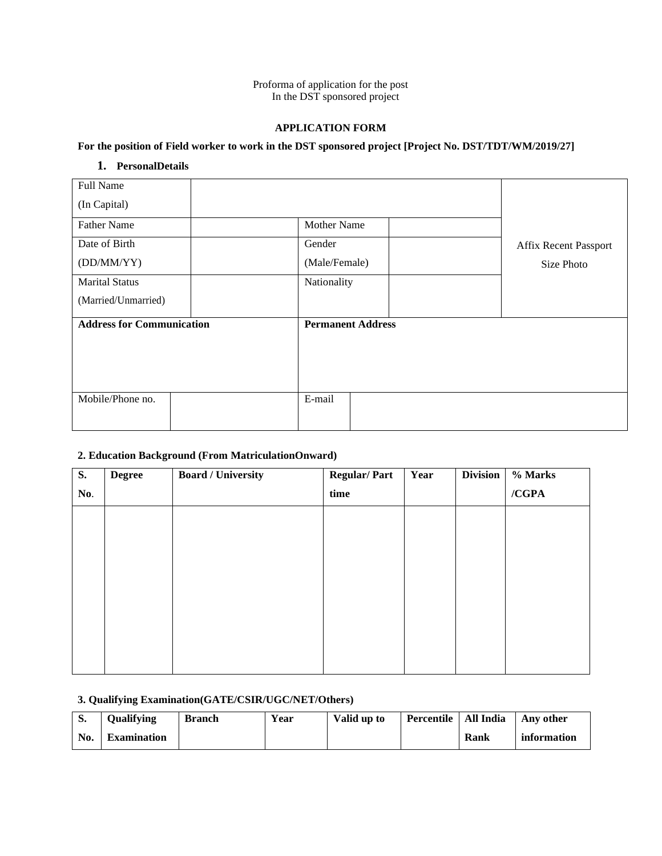Proforma of application for the post In the DST sponsored project

## **APPLICATION FORM**

## **For the position of Field worker to work in the DST sponsored project [Project No. DST/TDT/WM/2019/27]**

# **1. PersonalDetails**

| Full Name                        |  |                          |  |                              |
|----------------------------------|--|--------------------------|--|------------------------------|
| (In Capital)                     |  |                          |  |                              |
| <b>Father Name</b>               |  | <b>Mother Name</b>       |  |                              |
| Date of Birth                    |  | Gender                   |  | <b>Affix Recent Passport</b> |
| (DD/MM/YY)                       |  | (Male/Female)            |  | Size Photo                   |
| <b>Marital Status</b>            |  | Nationality              |  |                              |
| (Married/Unmarried)              |  |                          |  |                              |
| <b>Address for Communication</b> |  | <b>Permanent Address</b> |  |                              |
|                                  |  |                          |  |                              |
|                                  |  |                          |  |                              |
|                                  |  |                          |  |                              |
| Mobile/Phone no.                 |  | E-mail                   |  |                              |
|                                  |  |                          |  |                              |

# **2. Education Background (From MatriculationOnward)**

| <b>S.</b> | <b>Degree</b> | <b>Board / University</b> | <b>Regular/Part</b> | Year | <b>Division</b> | % Marks |
|-----------|---------------|---------------------------|---------------------|------|-----------------|---------|
| No.       |               |                           | time                |      |                 | /CGPA   |
|           |               |                           |                     |      |                 |         |
|           |               |                           |                     |      |                 |         |
|           |               |                           |                     |      |                 |         |
|           |               |                           |                     |      |                 |         |
|           |               |                           |                     |      |                 |         |
|           |               |                           |                     |      |                 |         |
|           |               |                           |                     |      |                 |         |
|           |               |                           |                     |      |                 |         |

## **3. Qualifying Examination(GATE/CSIR/UGC/NET/Others)**

|     | <b>Qualifying</b>  | <b>Branch</b> | Year | Valid up to | Percentile   All India |      | Any other   |
|-----|--------------------|---------------|------|-------------|------------------------|------|-------------|
| No. | <b>Examination</b> |               |      |             |                        | Rank | information |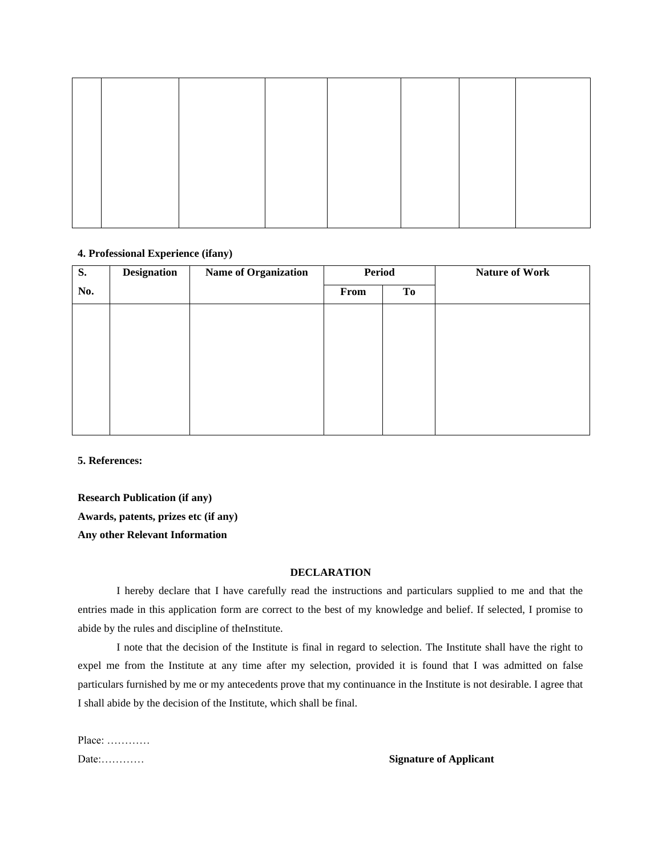#### **4. Professional Experience (ifany)**

| <b>S.</b> | <b>Designation</b> | <b>Name of Organization</b> | <b>Period</b> |    | <b>Nature of Work</b> |
|-----------|--------------------|-----------------------------|---------------|----|-----------------------|
| No.       |                    |                             | From          | To |                       |
|           |                    |                             |               |    |                       |
|           |                    |                             |               |    |                       |
|           |                    |                             |               |    |                       |
|           |                    |                             |               |    |                       |
|           |                    |                             |               |    |                       |
|           |                    |                             |               |    |                       |
|           |                    |                             |               |    |                       |

**5. References:**

**Research Publication (if any) Awards, patents, prizes etc (if any) Any other Relevant Information**

# **DECLARATION**

I hereby declare that I have carefully read the instructions and particulars supplied to me and that the entries made in this application form are correct to the best of my knowledge and belief. If selected, I promise to abide by the rules and discipline of theInstitute.

I note that the decision of the Institute is final in regard to selection. The Institute shall have the right to expel me from the Institute at any time after my selection, provided it is found that I was admitted on false particulars furnished by me or my antecedents prove that my continuance in the Institute is not desirable. I agree that I shall abide by the decision of the Institute, which shall be final.

| Place: |  |  |
|--------|--|--|
| Date:  |  |  |

#### **Signature of Applicant**